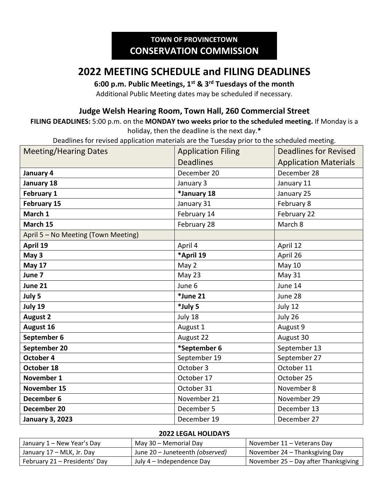# **2022 MEETING SCHEDULE and FILING DEADLINES**

### **6:00 p.m. Public Meetings, 1st & 3rd Tuesdays of the month**

Additional Public Meeting dates may be scheduled if necessary.

## **Judge Welsh Hearing Room, Town Hall, 260 Commercial Street**

#### **FILING DEADLINES:** 5:00 p.m. on the **MONDAY two weeks prior to the scheduled meeting.** If Monday is a holiday, then the deadline is the next day.**\***

Deadlines for revised application materials are the Tuesday prior to the scheduled meeting.

| <b>Meeting/Hearing Dates</b>        | <b>Application Filing</b> | <b>Deadlines for Revised</b> |
|-------------------------------------|---------------------------|------------------------------|
|                                     | <b>Deadlines</b>          | <b>Application Materials</b> |
| January 4                           | December 20               | December 28                  |
| January 18                          | January 3                 | January 11                   |
| February 1                          | *January 18               | January 25                   |
| <b>February 15</b>                  | January 31                | February 8                   |
| March 1                             | February 14               | February 22                  |
| March 15                            | February 28               | March 8                      |
| April 5 - No Meeting (Town Meeting) |                           |                              |
| April 19                            | April 4                   | April 12                     |
| May 3                               | *April 19                 | April 26                     |
| <b>May 17</b>                       | May 2                     | May 10                       |
| June 7                              | May 23                    | May 31                       |
| June 21                             | June 6                    | June 14                      |
| July 5                              | *June 21                  | June 28                      |
| July 19                             | *July 5                   | July 12                      |
| <b>August 2</b>                     | July 18                   | July 26                      |
| August 16                           | August 1                  | August 9                     |
| September 6                         | August 22                 | August 30                    |
| September 20                        | *September 6              | September 13                 |
| October 4                           | September 19              | September 27                 |
| October 18                          | October 3                 | October 11                   |
| November 1                          | October 17                | October 25                   |
| November 15                         | October 31                | November 8                   |
| December 6                          | November 21               | November 29                  |
| December 20                         | December 5                | December 13                  |
| <b>January 3, 2023</b>              | December 19               | December 27                  |

#### **2022 LEGAL HOLIDAYS**

| January 1 – New Year's Day    | May 30 – Memorial Day           | November 11 – Veterans Day           |
|-------------------------------|---------------------------------|--------------------------------------|
| January 17 – MLK, Jr. Day     | June 20 – Juneteenth (observed) | November 24 – Thanksgiving Day       |
| February 21 – Presidents' Day | July 4 – Independence Day       | November 25 - Day after Thanksgiving |